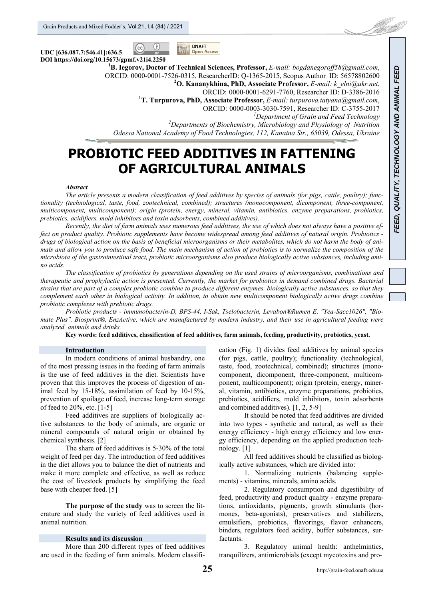$(cc)$ 



**UDC [636.087.7:546.41]:636.5 DOI https://doi.org/10.15673/gpmf.v21i4.2250 1**

**B. Iegorov, Doctor of Technical Sciences, Professor,** *E-mail: bogdanegoroff58@gmail.com*,

ORCID: 0000-0001-7526-0315, ResearcherID: Q-1365-2015, Scopus Author ID: 56578802600 **<sup>2</sup>**

**O. Kananykhina, PhD, Associate Professor,** *E-mail: k\_elni@ukr.net*,

ORCID: 0000-0001-6291-7760, Researcher ID: D-3386-2016 **<sup>1</sup>**

**T. Turpurova, PhD, Associate Professor,** *E-mail: turpurova.tatyana@gmail.com*,

ORCID: 0000-0003-3030-7591, Researcher ID: C-3755-2017 *<sup>1</sup>*

<sup>1</sup>Department of Grain and Feed Technology

*Departments of Biochemistry, Microbiology and Physiology of Nutrition Odessa National Academy of Food Technologies, 112, Kanatna Str., 65039, Odessa, Ukraine*

# **PROBIOTIC FEED ADDITIVES IN FATTENING OF AGRICULTURAL ANIMALS**

#### *Abstract*

*The article presents a modern classification of feed additives by species of animals (for pigs, cattle, poultry); functionality (technological, taste, food, zootechnical, combined); structures (monocomponent, dicomponent, three-component, multicomponent, multicomponent); origin (protein, energy, mineral, vitamin, antibiotics, enzyme preparations, probiotics, prebiotics, acidifiers, mold inhibitors and toxin adsorbents, combined additives).* 

*Recently, the diet of farm animals uses numerous feed additives, the use of which does not always have a positive effect on product quality. Probiotic supplements have become widespread among feed additives of natural origin. Probiotics drugs of biological action on the basis of beneficial microorganisms or their metabolites, which do not harm the body of animals and allow you to produce safe food. The main mechanism of action of probiotics is to normalize the composition of the microbiota of the gastrointestinal tract, probiotic microorganisms also produce biologically active substances, including amino acids.* 

*The classification of probiotics by generations depending on the used strains of microorganisms, combinations and therapeutic and prophylactic action is presented. Currently, the market for probiotics in demand combined drugs. Bacterial strains that are part of a complex probiotic combine to produce different enzymes, biologically active substances, so that they complement each other in biological activity. In addition, to obtain new multicomponent biologically active drugs combine probiotic complexes with prebiotic drugs.* 

*Probiotic products - immunobacterin-D, BPS-44, I-Sak, Tselobacterin, Levabon®Rumen E, "Yea-Sacc1026", "Biomate Plus", Biosprint®, EnzActive, which are manufactured by modern industry, and their use in agricultural feeding were analyzed. animals and drinks.* 

**Key words: feed additives, classification of feed additives, farm animals, feeding, productivity, probiotics, yeast.** 

## **Introduction**

In modern conditions of animal husbandry, one of the most pressing issues in the feeding of farm animals is the use of feed additives in the diet. Scientists have proven that this improves the process of digestion of animal feed by 15-18%, assimilation of feed by 10-15%, prevention of spoilage of feed, increase long-term storage of feed to 20%, etc. [1-5]

Feed additives are suppliers of biologically active substances to the body of animals, are organic or mineral compounds of natural origin or obtained by chemical synthesis. [2]

The share of feed additives is 5-30% of the total weight of feed per day. The introduction of feed additives in the diet allows you to balance the diet of nutrients and make it more complete and effective, as well as reduce the cost of livestock products by simplifying the feed base with cheaper feed. [5]

**The purpose of the study** was to screen the literature and study the variety of feed additives used in animal nutrition.

## **Results and its discussion**

More than 200 different types of feed additives are used in the feeding of farm animals. Modern classification (Fig. 1) divides feed additives by animal species (for pigs, cattle, poultry); functionality (technological, taste, food, zootechnical, combined); structures (monocomponent, dicomponent, three-component, multicomponent, multicomponent); origin (protein, energy, mineral, vitamin, antibiotics, enzyme preparations, probiotics, prebiotics, acidifiers, mold inhibitors, toxin adsorbents and combined additives). [1, 2, 5-9]

It should be noted that feed additives are divided into two types - synthetic and natural, as well as their energy efficiency - high energy efficiency and low energy efficiency, depending on the applied production technology. [1]

All feed additives should be classified as biologically active substances, which are divided into:

1. Normalizing nutrients (balancing supplements) - vitamins, minerals, amino acids.

2. Regulatory consumption and digestibility of feed, productivity and product quality - enzyme preparations, antioxidants, pigments, growth stimulants (hormones, beta-agonists), preservatives and stabilizers, emulsifiers, probiotics, flavorings, flavor enhancers, binders, regulators feed acidity, buffer substances, surfactants.

3. Regulatory animal health: anthelmintics, tranquilizers, antimicrobials (except mycotoxins and pro-

f de formation (f. 1871).<br>Statistike van de Franse van de Franse van de Franse van de Franse van de Franse van de Franse van de Franse v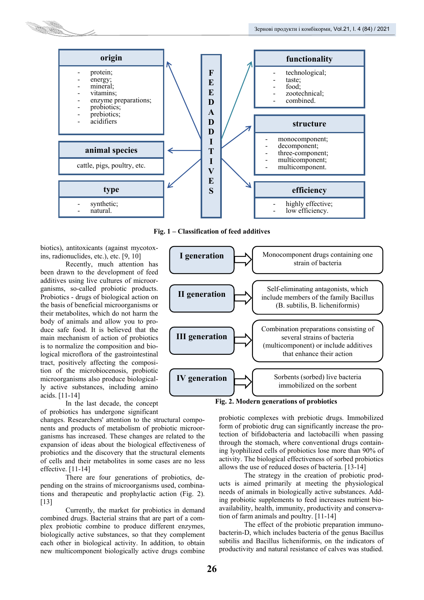

**Fig. 1 – Classification of feed additives** 

biotics), antitoxicants (against mycotoxins, radionuclides, etc.), etc. [9, 10]

Recently, much attention has been drawn to the development of feed additives using live cultures of microorganisms, so-called probiotic products. Probiotics - drugs of biological action on the basis of beneficial microorganisms or their metabolites, which do not harm the body of animals and allow you to produce safe food. It is believed that the main mechanism of action of probiotics is to normalize the composition and biological microflora of the gastrointestinal tract, positively affecting the composition of the microbiocenosis, probiotic microorganisms also produce biologically active substances, including amino acids. [11-14]

In the last decade, the concept of probiotics has undergone significant

changes. Researchers' attention to the structural components and products of metabolism of probiotic microorganisms has increased. These changes are related to the expansion of ideas about the biological effectiveness of probiotics and the discovery that the structural elements of cells and their metabolites in some cases are no less effective. [11-14]

There are four generations of probiotics, depending on the strains of microorganisms used, combinations and therapeutic and prophylactic action (Fig. 2). [13]

Currently, the market for probiotics in demand combined drugs. Bacterial strains that are part of a complex probiotic combine to produce different enzymes, biologically active substances, so that they complement each other in biological activity. In addition, to obtain new multicomponent biologically active drugs combine



**Fig. 2. Modern generations of probiotics** 

probiotic complexes with prebiotic drugs. Immobilized form of probiotic drug can significantly increase the protection of bifidobacteria and lactobacilli when passing through the stomach, where conventional drugs containing lyophilized cells of probiotics lose more than 90% of activity. The biological effectiveness of sorbed probiotics allows the use of reduced doses of bacteria. [13-14]

The strategy in the creation of probiotic products is aimed primarily at meeting the physiological needs of animals in biologically active substances. Adding probiotic supplements to feed increases nutrient bioavailability, health, immunity, productivity and conservation of farm animals and poultry. [11-14]

The effect of the probiotic preparation immunobacterin-D, which includes bacteria of the genus Bacillus subtilis and Bacillus licheniformis, on the indicators of productivity and natural resistance of calves was studied.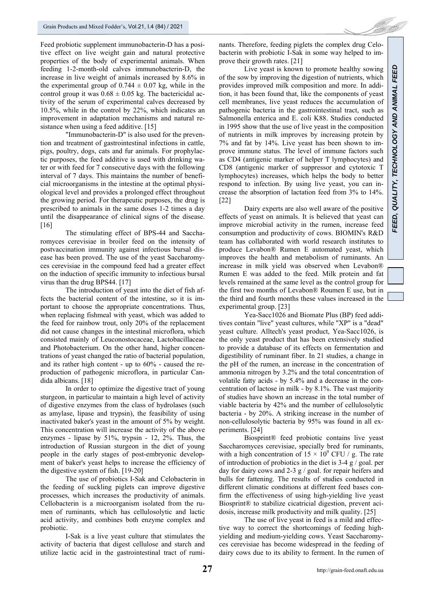Feed probiotic supplement immunobacterin-D has a positive effect on live weight gain and natural protective properties of the body of experimental animals. When feeding 1-2-month-old calves immunobacterin-D, the increase in live weight of animals increased by 8.6% in the experimental group of  $0.744 \pm 0.07$  kg, while in the control group it was  $0.68 \pm 0.05$  kg. The bactericidal activity of the serum of experimental calves decreased by 10.5%, while in the control by 22%, which indicates an improvement in adaptation mechanisms and natural resistance when using a feed additive. [15]

"Immunobacterin-D" is also used for the prevention and treatment of gastrointestinal infections in cattle, pigs, poultry, dogs, cats and fur animals. For prophylactic purposes, the feed additive is used with drinking water or with feed for 7 consecutive days with the following interval of 7 days. This maintains the number of beneficial microorganisms in the intestine at the optimal physiological level and provides a prolonged effect throughout the growing period. For therapeutic purposes, the drug is prescribed to animals in the same doses 1-2 times a day until the disappearance of clinical signs of the disease. [16]

The stimulating effect of BPS-44 and Saccharomyces cerevisiae in broiler feed on the intensity of postvaccination immunity against infectious bursal disease has been proved. The use of the yeast Saccharomyces cerevisiae in the compound feed had a greater effect on the induction of specific immunity to infectious bursal virus than the drug BPS44. [17]

The introduction of yeast into the diet of fish affects the bacterial content of the intestine, so it is important to choose the appropriate concentrations. Thus, when replacing fishmeal with yeast, which was added to the feed for rainbow trout, only 20% of the replacement did not cause changes in the intestinal microflora, which consisted mainly of Leuconostocaceae, Lactobacillaceae and Photobacterium. On the other hand, higher concentrations of yeast changed the ratio of bacterial population, and its rather high content - up to 60% - caused the reproduction of pathogenic microflora, in particular Candida albicans. [18]

In order to optimize the digestive tract of young sturgeon, in particular to maintain a high level of activity of digestive enzymes from the class of hydrolases (such as amylase, lipase and trypsin), the feasibility of using inactivated baker's yeast in the amount of 5% by weight. This concentration will increase the activity of the above enzymes - lipase by 51%, trypsin - 12, 2%. Thus, the introduction of Russian sturgeon in the diet of young people in the early stages of post-embryonic development of baker's yeast helps to increase the efficiency of the digestive system of fish. [19-20]

The use of probiotics I-Sak and Celobacterin in the feeding of suckling piglets can improve digestive processes, which increases the productivity of animals. Cellobacterin is a microorganism isolated from the rumen of ruminants, which has cellulosolytic and lactic acid activity, and combines both enzyme complex and probiotic.

I-Sak is a live yeast culture that stimulates the activity of bacteria that digest cellulose and starch and utilize lactic acid in the gastrointestinal tract of ruminants. Therefore, feeding piglets the complex drug Celobacterin with probiotic I-Sak in some way helped to improve their growth rates. [21]

Live yeast is known to promote healthy sowing of the sow by improving the digestion of nutrients, which provides improved milk composition and more. In addition, it has been found that, like the components of yeast cell membranes, live yeast reduces the accumulation of pathogenic bacteria in the gastrointestinal tract, such as Salmonella enterica and E. coli K88. Studies conducted in 1995 show that the use of live yeast in the composition of nutrients in milk improves by increasing protein by 7% and fat by 14%. Live yeast has been shown to improve immune status. The level of immune factors such as CD4 (antigenic marker of helper T lymphocytes) and CD8 (antigenic marker of suppressor and cytotoxic T lymphocytes) increases, which helps the body to better respond to infection. By using live yeast, you can increase the absorption of lactation feed from 3% to 14%. [22]

Dairy experts are also well aware of the positive effects of yeast on animals. It is believed that yeast can improve microbial activity in the rumen, increase feed consumption and productivity of cows. BIOMIN's R&D team has collaborated with world research institutes to produce Levabon® Rumen E automated yeast, which improves the health and metabolism of ruminants. An increase in milk yield was observed when Levabon® Rumen E was added to the feed. Milk protein and fat levels remained at the same level as the control group for the first two months of Levabon® Roumen E use, but in the third and fourth months these values increased in the experimental group. [23]

Yea-Sacc1026 and Biomate Plus (BP) feed additives contain "live" yeast cultures, while "XP" is a "dead" yeast culture. Alltech's yeast product, Yea-Sacc1026, is the only yeast product that has been extensively studied to provide a database of its effects on fermentation and digestibility of ruminant fiber. In 21 studies, a change in the pH of the rumen, an increase in the concentration of ammonia nitrogen by 3.2% and the total concentration of volatile fatty acids - by 5.4% and a decrease in the concentration of lactose in milk - by 8.1%. The vast majority of studies have shown an increase in the total number of viable bacteria by 42% and the number of cellulosolytic bacteria - by 20%. A striking increase in the number of non-cellulosolytic bacteria by 95% was found in all experiments. [24]

Biosprint® feed probiotic contains live yeast Saccharomyces cerevisiae, specially bred for ruminants, with a high concentration of  $15 \times 10^9$  CFU / g. The rate of introduction of probiotics in the diet is 3-4 g / goal. per day for dairy cows and 2-3 g / goal. for repair heifers and bulls for fattening. The results of studies conducted in different climatic conditions at different feed bases confirm the effectiveness of using high-yielding live yeast Biosprint® to stabilize cicatricial digestion, prevent acidosis, increase milk productivity and milk quality. [25]

The use of live yeast in feed is a mild and effective way to correct the shortcomings of feeding highyielding and medium-yielding cows. Yeast Saccharomyces cerevisiae has become widespread in the feeding of dairy cows due to its ability to ferment. In the rumen of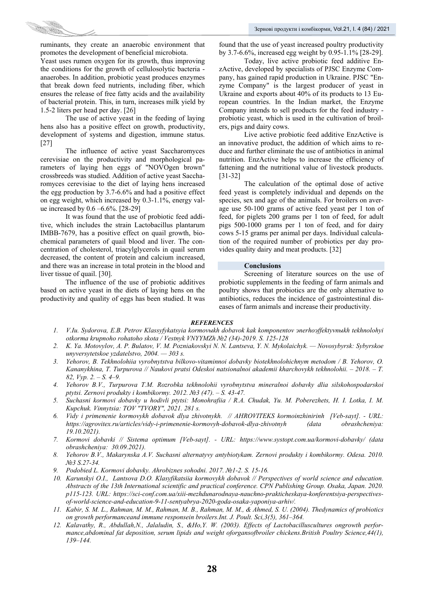ruminants, they create an anaerobic environment that promotes the development of beneficial microbiota.

Yeast uses rumen oxygen for its growth, thus improving the conditions for the growth of cellulosolytic bacteria anaerobes. In addition, probiotic yeast produces enzymes that break down feed nutrients, including fiber, which ensures the release of free fatty acids and the availability of bacterial protein. This, in turn, increases milk yield by 1.5-2 liters per head per day. [26]

The use of active yeast in the feeding of laying hens also has a positive effect on growth, productivity, development of systems and digestion, immune status. [27]

The influence of active yeast Saccharomyces cerevisiae on the productivity and morphological parameters of laying hen eggs of "NOVOgen brown" crossbreeds was studied. Addition of active yeast Saccharomyces cerevisiae to the diet of laying hens increased the egg production by 3.7-6.6% and had a positive effect on egg weight, which increased by 0.3-1.1%, energy value increased by 0.6 –6.6%. [28-29]

It was found that the use of probiotic feed additive, which includes the strain Lactobacillus plantarum IMBB-7679, has a positive effect on quail growth, biochemical parameters of quail blood and liver. The concentration of cholesterol, triacylglycerols in quail serum decreased, the content of protein and calcium increased, and there was an increase in total protein in the blood and liver tissue of quail. [30].

The influence of the use of probiotic additives based on active yeast in the diets of laying hens on the productivity and quality of eggs has been studied. It was found that the use of yeast increased poultry productivity by 3.7-6.6%, increased egg weight by 0.95-1.1% [28-29].

Today, live active probiotic feed additive EnzActive, developed by specialists of PJSC Enzyme Company, has gained rapid production in Ukraine. PJSC "Enzyme Company" is the largest producer of yeast in Ukraine and exports about 40% of its products to 13 European countries. In the Indian market, the Enzyme Company intends to sell products for the feed industry probiotic yeast, which is used in the cultivation of broilers, pigs and dairy cows.

Live active probiotic feed additive EnzActive is an innovative product, the addition of which aims to reduce and further eliminate the use of antibiotics in animal nutrition. EnzActive helps to increase the efficiency of fattening and the nutritional value of livestock products. [31-32]

The calculation of the optimal dose of active feed yeast is completely individual and depends on the species, sex and age of the animals. For broilers on average use 50-100 grams of active feed yeast per 1 ton of feed, for piglets 200 grams per 1 ton of feed, for adult pigs 500-1000 grams per 1 ton of feed, and for dairy cows 5-15 grams per animal per days. Individual calculation of the required number of probiotics per day provides quality dairy and meat products. [32]

#### **Conclusions**

Screening of literature sources on the use of probiotic supplements in the feeding of farm animals and poultry shows that probiotics are the only alternative to antibiotics, reduces the incidence of gastrointestinal diseases of farm animals and increase their productivity.

## *REFERENCES*

- *1. V.Iu. Sydorova, E.B. Petrov Klassyfykatsyia kormovыkh dobavok kak komponentov эnerhoэffektyvnыkh tekhnolohyi otkorma krupnoho rohatoho skota / Vestnyk VNYYMZh №2 (34)-2019. S. 125-128*
- *2. K. Ya. Motovylov, A. P. Bulatov, V. M. Pozniakovskyi N. N. Lantseva, Y. N. Mykolaichyk. Novosybyrsk: Sybyrskoe unyversytetskoe yzdatelstvo, 2004. — 303 s.*
- *3. Yehorov, B. Tekhnolohiia vyrobnytstva bilkovo-vitaminnoi dobavky biotekhnolohichnym metodom / B. Yehorov, O. Kananykhina, T. Turpurova // Naukovi pratsi Odeskoi natsionalnoi akademii kharchovykh tekhnolohii. – 2018. – T. 82, Vyp. 2. – S. 4–9.*
- *4. Yehorov B.V., Turpurova T.M. Rozrobka tekhnolohii vyrobnytstva mineralnoi dobavky dlia silskohospodarskoi ptytsi. Zernovi produkty i kombikormy. 2012. №3 (47). – S. 43-47.*
- *5. Suchasni kormovi dobavky u hodivli ptytsi: Monohrafiia / R.A. Chudak, Yu. M. Poberezhets, H. I. Lotka, I. M. Kupchuk. Vinnytsia: TOV "TVORY", 2021. 281 s.*
- *6. Vidy i primenenie kormovykh dobavok dlya zhivotnykh. // AHROVITEKS kormoinzhinirinh [Veb-sayt]. URL: https://agrovitex.ru/articles/vidy-i-primenenie-kormovyh-dobavok-dlya-zhivotnyh (data obrashcheniya: 19.10.2021).*
- *7. Kormovi dobavki // Sistema optimum [Veb-sayt]. URL: https://www.systopt.com.ua/kormovi-dobavky/ (data obrashcheniya: 30.09.2021).*
- *8. Yehorov B.V., Makarynska A.V. Suchasni alternatyvy antybiotykam. Zernovi produkty i kombikormy. Odesa. 2010. №3 S.27-34.*
- *9. Podobied L. Kormovi dobavky. Ahrobiznes sohodni. 2017. №1-2. S. 15-16.*
- *10. Karunskyi O.I., Lantsova D.O. Klasyfikatsiia kormovykh dobavok // Perspectives of world science and education. Abstracts of the 13th International scientific and practical conference. CPN Publishing Group. Osaka, Japan. 2020. p115-123. URL: https://sci-conf.com.ua/xiii-mezhdunarodnaya-nauchno-prakticheskaya-konferentsiya-perspectivesof-world-science-and-education-9-11-sentyabrya-2020-goda-osaka-yaponiya-arhiv/.*
- *11. Kabir, S. M. L., Rahman, M. M., Rahman, M. B., Rahman, M. M., & Ahmed, S. U. (2004). Thedynamics of probiotics on growth performanceand immune responsein broilers.Int. J. Poult. Sci,3(5), 361–364.*
- *12. Kalavathy, R., Abdullah,N., Jalaludin, S., &Ho,Y. W. (2003). Effects of Lactobacilluscultures ongrowth performance,abdominal fat deposition, serum lipids and weight oforgansofbroiler chickens.British Poultry Science,44(1), 139–144.*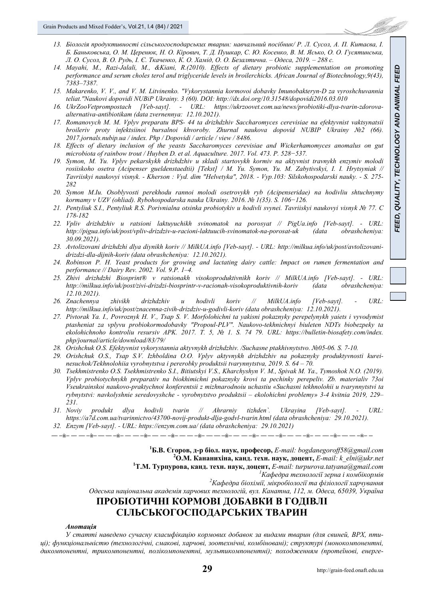- 13. Біологія продуктивності сільськогосподарських тварин: навчальний посібник/ Р. Л. Сусол. А. П. Китаєва. І. Б. Баньковська, О. М. Церенюк, Н. О. Кірович, Т. Д. Пушкар, С. Ю. Косенко, В. М. Ясько, О. О. Гусятинська, Л. О. Сусол. В. О. Рудь. І. Є. Ткаченко. К. О. Хамід. О. О. Безалтична. – Одеса. 2019. – 288 с.
- *14. Mayahi, M., Razi-Jalali, M., &Kiani, R.(2010). Effects of dietary probiotic supplementation on promoting performance and serum choles terol and triglyceride levels in broilerchicks. African Journal of Biotechnology,9(43), 7383–7387.*
- *15. Makarenko, V. V., and V. M. Litvinenko. "Vykorystannia kormovoi dobavky Imunobakteryn-D za vyroshchuvannia teliat."Naukovi dopovidi NUBiP Ukrainy. 3 (60). DOI: http://dx.doi.org/10.31548/dopovidi2016.03.010*
- *16. UkrZooVetprompostach [Veb-sayt]. URL: https://ukrzoovet.com.ua/news/probiotiki-dlya-tvarin-zdorovaalternativa-antibiotikam (data zvernennya: 12.10.2021).*
- *17. Romanovych M. M. Vplyv preparatu BPS- 44 ta drizhdzhiv Saccharomyces cerevisiae na efektyvnist vaktsynatsii broileriv proty infektsiinoi bursalnoi khvoroby. Zhurnal naukova dopovid NUBIP Ukrainy №2 (66). 2017.jornals.nubip.ua / index. Php / Dopovidi / article / view / 8486.*
- *18. Effects of dietary inclusion of the yeasts Saccharomyces cerevisiae and Wickerhamomyces anomalus on gut microbiota of rainbow trout / Huyben D. et al. Aquaculture. 2017. Vol. 473. P. 528−537.*
- *19. Symon, M. Yu. Vplyv pekarskykh drizhdzhiv u skladi startovykh kormiv na aktyvnist travnykh enzymiv molodi rosiiskoho osetra (Acipenser gueldenstaedtii) [Tekst] / M. Yu. Symon, Yu. M. Zabytivskyi, I. I. Hrytsyniak // Tavriiskyi naukovyi visnyk. - Kherson : Vyd. dim "Helvetyka", 2018. - Vyp.103: Silskohospodarski nauky. - S. 275- 282*
- *20. Symon M.Iu. Osoblyvosti perekhodu rannoi molodi osetrovykh ryb (Acipenseridae) na hodivliu shtuchnymy kormamy v UZV (ohliad). Rybohospodarska nauka Ukrainy. 2016. № 1(35). S. 106−126.*
- *21. Pentyliuk S.I., Pentyliuk R.S. Porivnialna otsinka probiotykiv u hodivli svynei. Tavriiskyi naukovyi visnyk № 77. C 178-182*
- *22. Vpliv drizhdzhiv u ratsioni laktuyuchikh svinomatok na porosyat // PigUa.info [Veb-sayt]. URL: http://pigua.info/uk/post/vpliv-drizdziv-u-racioni-laktuucih-svinomatok-na-porosat-uk (data obrashcheniya: 30.09.2021).*
- *23. Avtolizovani drizhdzhi dlya diynikh koriv // MilkUA.info [Veb-sayt]. URL: http://milkua.info/uk/post/avtolizovanidrizdzi-dla-dijnih-koriv (data obrashcheniya: 12.10.2021).*
- *24. Robinson P. H. Yeast products for growing and lactating dairy cattle: Impact on rumen fermentation and performance // Dairy Rev. 2002. Vol. 9.P. 1–4.*
- *25. Zhivi drizhdzhi Biosprint® v ratsionakh visokoproduktivnikh koriv // MilkUA.info [Veb-sayt]. URL: http://milkua.info/uk/post/zivi-drizdzi-biosprintr-v-racionah-visokoproduktivnih-koriv (data obrashcheniya: 12.10.2021).*
- *26. Znachennya zhivikh drizhdzhiv u hodivli koriv // MilkUA.info [Veb-sayt]. URL: http://milkua.info/uk/post/znacenna-zivih-drizdziv-u-godivli-koriv (data obrashcheniya: 12.10.2021).*
- *27. Pivtorak Ya. I., Povroznyk H. V., Tsap S. V. Morfolohichni ta yakisni pokaznyky perepelynykh yaiets i vyvodymist ptasheniat za vplyvu probiokormodobavky "Propoul-PLV". Naukovo-tekhnichnyi biuleten NDTs biobezpeky ta ekolohichnoho kontroliu resursiv APK. 2017. T. 5, № 1. S. 74 79. URL: https://bulletin-biosafety.com/index. php/journal/article/download/83/79/*
- *28. Orishchuk O.S. Efektyvnist vykorystannia aktyvnykh drizhdzhiv. /Suchasne ptakhivnytstvo. №05-06. S. 7-10.*
- *29. Orishchuk O.S., Tsap S.V. Izhboldina O.O. Vplyv aktyvnykh drizhdzhiv na pokaznyky produktyvnosti kureinesuchok/Tekhnolohiia vyrobnytstva i pererobky produktsii tvarynnytstva, 2019. S. 64 – 70.*
- *30. Tsekhmistrenko O.S. Tsekhmistrenko S.I., Bitiutskyi V.S., Kharchyshyn V. M., Spivak M. Ya., Tymoshok N.O. (2019). Vplyv probiotychnykh preparativ na biokhimichni pokaznyky krovi ta pechinky perepeliv. Zb. materialiv 73oi Vseukrainskoi naukovo-praktychnoi konferentsii z mizhnarodnoiu uchastiu «Suchasni tekhnolohii u tvarynnytstvi ta rybnytstvi: navkolyshnie seredovyshche - vyrobnytstvo produktsii – ekolohichni problemy» 3-4 kvitnia 2019, 229– 231.*
- *31. Noviy produkt dlya hodivli tvarin // Ahrarniy tizhden`. Ukrayina [Veb-sayt]. URL: https://a7d.com.ua/tvarinnictvo/43700-novij-produkt-dlja-godvl-tvarin.html (data obrashcheniya: 29.10.2021).*
- *32. Enzym [Veb-sayt]. URL: https://enzym.com.ua/ (data obrashcheniya: 29.10.2021)*

.<br>. je na na nje na na nje na na nje na na nje na na nje na na nje na na nje na na nje na na nje na na nje na nje

**1 Б.В. Єгоров, д-р біол. наук, професор,** *E-mail: bogdanegoroff58@gmail.com* **<sup>2</sup>**  $^{2}$ О.М. Кананихіна, канд. техн. наук, доцент, *E-mail: k\_elni@ukr.net* **T.М. Турпурова, канд. техн. наук, доцент,** *E-mail: turpurova.tatyana@gmail.com <sup>1</sup> Кафедра технології зерна <sup>і</sup> комбікормів <sup>2</sup> Кафедра біохімії, мікробіології та фізіології харчування Одеська національна академія харчових технологій, вул. Канатна, 112, м. Одеса, 65039, Україна* **ПРОБІОТИЧНІ КОРМОВІ ДОБАВКИ В ГОДІВЛІ СІЛЬСЬКОГОСПОДАРСЬКИХ ТВАРИН** 

#### *Анотація*

*У статті наведено сучасну класифікацію кормових добавок за видами тварин (для свиней, ВРХ, пти*ці); функціональністю (технологічні, смакові, харчові, зоотехнічні, комбіновані); структурі (монокомпонентні, *дикомпонентні, трикомпонентні, полікомпонентні, мультикомпонентні); походженням (протеїнові, енерге-*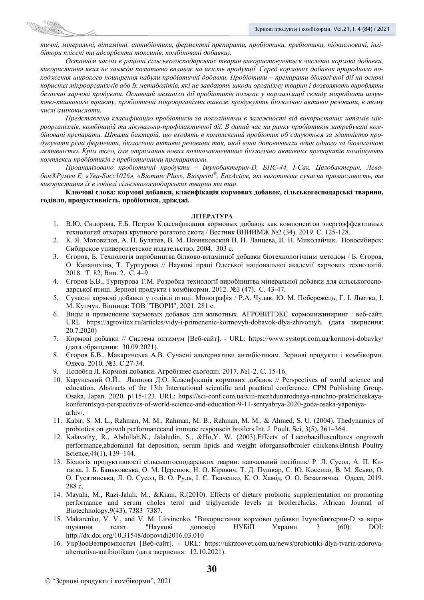тичні, мінеральні, вітамінні, антибіотики, ферментні препарати, пробіотики, пребіотики, підкислювачі, інгі*бітори плісені та адсорбенти токсинів, комбіновані добавки).* 

*Останнім часом в раціоні сільськогосподарських тварин використовуються численні кормові добавки, використання яких не завжди позитивно впливає на якість продукції. Серед кормових добавок природного походження широкого поширення набули пробіотичні добавки. Пробіотики – препарати біологічної дії на основі корисних мікроорганізмів або їх метаболітів, які не завдають шкоди організму тварин і дозволяють виробляти безпечні харчові продукти. Основний механізм дії пробіотиків полягає у нормалізації складу мікробіоти шлунково-кишкового тракту, пробіотичні мікроорганізми також продукують біологічно активні речовини, в тому числі амінокислоти.* 

*Представлено класифікацію пробіотиків за поколіннями в залежності від використаних штамів мік*роорганізмів, комбінацій та лікувально-профілактичної дії. В даний час на ринку пробіотиків затребувані комбіновані препарати. Штами бактерій, що входять в комплексний пробіотик об'єднуються за здатністю про*дукувати різні ферменти, біологічно активні речовини так, щоб вони доповнювали один одного за біологічною активністю. Крім того, для отримання нових полікомпонентних біологічно активних препаратів комбінують комплекси пробіотиків з пребіотичними препаратами.* 

*Проаналізовано пробіотичні продукти – імунобактерин-D, БПС-44, І-Сак, Целобактерин, Левабон®Румен Е, «Yea-Sacc1026», «Biomate Plus», Biosprint®, EnzActive, які виготовляє сучасна промисловість, та використання їх в годівлі сільськогосподарських тварин та пиці.* 

**Ключові слова: кормові добавки, класифікація кормових добавок, сільськогосподарські тварини, годівля, продуктивність, пробіотики, дріжджі.** 

## **ЛІТЕРАТУРА**

- 1. В.Ю. Сидорова, Е.Б. Петров Классификация кормовых добавок как компонентов энергоэффективных технологий откорма крупного рогатого скота / Вестник ВНИИМЖ №2 (34). 2019. С. 125-128.
- 2. К. Я. Мотовилов, А. П. Булатов, В. М. Позняковский Н. Н. Ланцева, И. Н. Миколайчик. Новосибирск: Сибирское университетское издательство, 2004. 303 с.
- 3. Єгоров, Б. Технологія виробництва білково-вітамінної добавки біотехнологічним методом / Б. Єгоров, О. Кананихіна, Т. Турпурова // Наукові праці Одеської національної академії харчових технологій. 2018. Т. 82, Вип. 2. С. 4–9.
- 4. Єгоров Б.В., Турпурова Т.М. Розробка технології виробництва мінеральної добавки для сільськогосподарської птиці. Зернові продукти і комбікорми. 2012. №3 (47). С. 43-47.
- 5. Сучасні кормові добавки у годівлі птиці: Монографія / Р.А. Чудак, Ю. М. Побережець, Г. І. Льотка, І. М. Купчук. Вінниця: ТОВ "ТВОРИ", 2021. 281 с.
- 6. Виды и применение кормовых добавок для животных. АГРОВИТЭКС кормоинжиниринг : веб-сайт. URL https://agrovitex.ru/articles/vidy-i-primenenie-kormovyh-dobavok-dlya-zhivotnyh. (дата звернення: 20.7.2020)
- 7. Кормові добавки // Система оптимум [Веб-сайт]. URL: https://www.systopt.com.ua/kormovi-dobavky/ (дата обращения: 30.09.2021).
- 8. Єгоров Б.В., Макаринська А.В. Сучасні альтернативи антибіотикам. Зернові продукти і комбікорми. Одеса. 2010. №3. С.27-34.
- 9. Подобєд Л. Кормові добавки. Агробізнес сьогодні. 2017. №1-2. С. 15-16.
- 10. Карунський О.Й., Ланцова Д.О. Класифікація кормових добавок // Perspectives of world science and education. Abstracts of the 13th International scientific and practical conference. CPN Publishing Group. Osaka, Japan. 2020. p115-123. URL: https://sci-conf.com.ua/xiii-mezhdunarodnaya-nauchno-prakticheskayakonferentsiya-perspectives-of-world-science-and-education-9-11-sentyabrya-2020-goda-osaka-yaponiyaarhiv/.
- 11. Kabir, S. M. L., Rahman, M. M., Rahman, M. B., Rahman, M. M., & Ahmed, S. U. (2004). Thedynamics of probiotics on growth performanceand immune responsein broilers.Int. J. Poult. Sci, 3(5), 361–364.
- 12. Kalavathy, R., Abdullah,N., Jalaludin, S., &Ho,Y. W. (2003).Effects of Lactobacilluscultures ongrowth performance,abdominal fat deposition, serum lipids and weight oforgansofbroiler chickens.British Poultry Science,44(1), 139–144.
- 13. Біологія продуктивності сільськогосподарських тварин: навчальний посібник/ Р. Л. Сусол, А. П. Китаєва, І. Б. Баньковська, О. М. Церенюк, Н. О. Кірович, Т. Д. Пушкар, С. Ю. Косенко, В. М. Ясько, О. О. Гусятинська, Л. О. Сусол, В. О. Рудь, І. Є. Ткаченко, К. О. Хамід, О. О. Безалтична. Одеса, 2019. 288 с.
- 14. Mayahi, M., Razi-Jalali, M., &Kiani, R.(2010). Effects of dietary probiotic supplementation on promoting performance and serum choles terol and triglyceride levels in broilerchicks. African Journal of Biotechnology,9(43), 7383–7387.
- 15. Makarenko, V. V., and V. M. Litvinenko. "Використання кормової добавки Імунобактерин-D за вирощування телят. "Наукові доповіді НУБіП України. 3 (60). DOI: http://dx.doi.org/10.31548/dopovidi2016.03.010
- 16. УкрЗооВетпромпостач [Веб-сайт]. URL: https://ukrzoovet.com.ua/news/probiotiki-dlya-tvarin-zdorovaalternativa-antibiotikam (дата звернення: 12.10.2021).